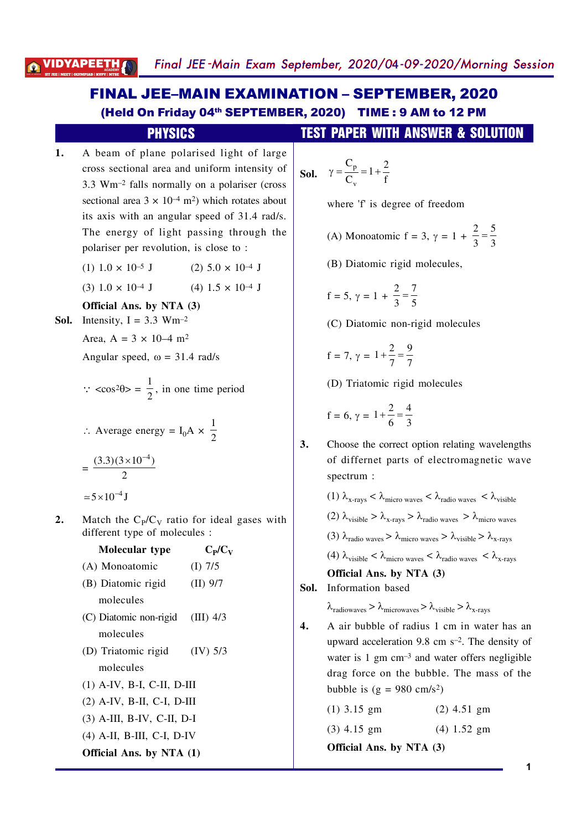# **FINAL JEE-MAIN EXAMINATION - SEPTEMBER, 2020** (Held On Friday 04th SEPTEMBER, 2020) TIME: 9 AM to 12 PM

# **PHYSICS**

- $1.$ A beam of plane polarised light of large cross sectional area and uniform intensity of 3.3 Wm<sup>-2</sup> falls normally on a polariser (cross sectional area  $3 \times 10^{-4}$  m<sup>2</sup>) which rotates about its axis with an angular speed of 31.4 rad/s. The energy of light passing through the polariser per revolution, is close to:
	- $(1)$  1.0  $\times$  10<sup>-5</sup> J  $(2)$  5.0  $\times$  10<sup>-4</sup> J
	- $(4)$  1.5  $\times$  10<sup>-4</sup> J  $(3) 1.0 \times 10^{-4}$  J

Official Ans. by NTA (3)

- **Sol.** Intensity,  $I = 3.3$  Wm<sup>-2</sup>
	- Area, A =  $3 \times 10^{-4}$  m<sup>2</sup>

Angular speed,  $\omega = 31.4$  rad/s

 $\therefore$  <cos<sup>2</sup> $\theta$ > =  $\frac{1}{2}$ , in one time period

$$
\therefore \text{ Average energy} = I_0 A \times \frac{1}{2}
$$

 $=\frac{(3.3)(3\times10^{-4})}{2}$ 

Moleculen type

 $\approx 5 \times 10^{-4}$  J

 $2.$ Match the  $C<sub>p</sub>/C<sub>V</sub>$  ratio for ideal gases with different type of molecules :

 $\mathbb{C}$  in

| Noieculal type                   | $\mathbf{U}$ l $\mathbf{U}$ |  |  |  |
|----------------------------------|-----------------------------|--|--|--|
| (A) Monoatomic                   | $(I)$ 7/5                   |  |  |  |
| (B) Diatomic rigid               | $(II)$ 9/7                  |  |  |  |
| molecules                        |                             |  |  |  |
| (C) Diatomic non-rigid (III) 4/3 |                             |  |  |  |
| molecules                        |                             |  |  |  |
| (D) Triatomic rigid              | $(IV)$ 5/3                  |  |  |  |
| molecules                        |                             |  |  |  |
| $(1)$ A-IV, B-I, C-II, D-III     |                             |  |  |  |
| $(2)$ A-IV, B-II, C-I, D-III     |                             |  |  |  |
| $(3)$ A-III, B-IV, C-II, D-I     |                             |  |  |  |
| $(4)$ A-II, B-III, C-I, D-IV     |                             |  |  |  |
| Official Ans. by NTA (1)         |                             |  |  |  |

## **TEST PAPER WITH ANSWER & SOLUTION**

$$
Sol. \quad \gamma = \frac{C_p}{C_v} = 1 + \frac{2}{f}
$$

where 'f' is degree of freedom

- (A) Monoatomic f = 3,  $\gamma = 1 + \frac{2}{3} = \frac{5}{3}$
- (B) Diatomic rigid molecules,

$$
f = 5, \gamma = 1 + \frac{2}{3} = \frac{7}{5}
$$

(C) Diatomic non-rigid molecules

$$
f = 7, \, \gamma = 1 + \frac{2}{7} = \frac{9}{7}
$$

(D) Triatomic rigid molecules

$$
f = 6, \gamma = 1 + \frac{2}{6} = \frac{4}{3}
$$

 $3.$ Choose the correct option relating wavelengths of differnet parts of electromagnetic wave spectrum:

\n- (1) 
$$
\lambda_{x\text{-rays}} < \lambda_{micro \text{ waves}} < \lambda_{radio \text{ waves}} < \lambda_{visible}
$$
\n- (2)  $\lambda_{visible} > \lambda_{x\text{-rays}} > \lambda_{radio \text{ waves}} > \lambda_{micro \text{ waves}}$
\n- (3)  $\lambda_{radio \text{ waves}} > \lambda_{micro \text{ waves}} > \lambda_{visible} > \lambda_{x\text{-rays}}$
\n- (4)  $\lambda_{visible} < \lambda_{micro \text{ waves}} < \lambda_{radio \text{ waves}} < \lambda_{x\text{-rays}}$
\n- **Official Ans. by NTA (3)**
\n

Sol. Information based

 $\lambda_{\text{radiowaves}} > \lambda_{\text{microwaves}} > \lambda_{\text{visible}} > \lambda_{\text{x-rays}}$ 

 $\overline{4}$ . A air bubble of radius 1 cm in water has an upward acceleration 9.8 cm  $s^{-2}$ . The density of water is  $1 \text{ gm cm}^{-3}$  and water offers negligible drag force on the bubble. The mass of the bubble is  $(g = 980 \text{ cm/s}^2)$ 

> $(1)$  3.15 gm  $(2)$  4.51 gm  $(3)$  4.15 gm  $(4) 1.52$  gm Official Ans. by NTA (3)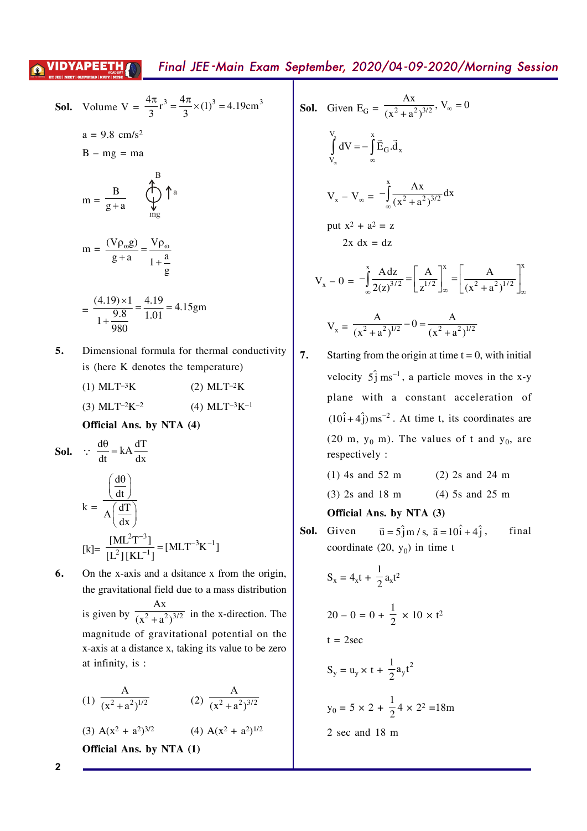## VIDYAPEE<u>TH*A*N</u>

$$
\int_{V_{\infty}}^{V_{x}} dV = -\int_{\infty}^{x} \vec{E}_{G} \cdot \vec{d}_{x}
$$
  
\n
$$
V_{x} - V_{\infty} = -\int_{\infty}^{x} \frac{Ax}{(x^{2} + a^{2})^{3/2}} dx
$$
  
\nput  $x^{2} + a^{2} = z$   
\n
$$
2x dx = dz
$$
  
\n
$$
V_{x} - 0 = -\int_{\infty}^{x} \frac{A dz}{2(z)^{3/2}} = \left[\frac{A}{z^{1/2}}\right]_{\infty}^{x} = \left[\frac{A}{(x^{2} + a^{2})^{1/2}}\right]_{\infty}^{x}
$$
  
\n
$$
V_{x} = \frac{A}{(x^{2} + a^{2})^{1/2}} - 0 = \frac{A}{(x^{2} + a^{2})^{1/2}}
$$
  
\n7. Starting from the origin at time t = 0, with initial velocity 5<sup>2</sup> j ms<sup>-1</sup>, a particle moves in the x-y plane with a constant acceleration of (10<sup>2</sup> + 4<sup>2</sup>) ms<sup>-2</sup>. At time t, its coordinates are

(20 m, 
$$
y_0
$$
 m). The values of t and  $y_0$ , are respectively:

$$
(3) 2s \text{ and } 18 \text{ m} \tag{4) 5s and 25 m}
$$

 $\vec{u} = 5\hat{j}$  m / s,  $\vec{a} = 10\hat{i} + 4\hat{j}$ , final te  $(20, y_0)$  in time t

$$
S_x = 4_x t + \frac{1}{2} a_x t^2
$$

$$
20 - 0 = 0 + \frac{1}{2} \times 10 \times t^2
$$

$$
S_y = u_y \times t + \frac{1}{2} a_y t^2
$$

$$
y_0 = 5 \times 2 + \frac{1}{2}4 \times 2^2 = 18m
$$
  
2 sec and 18 m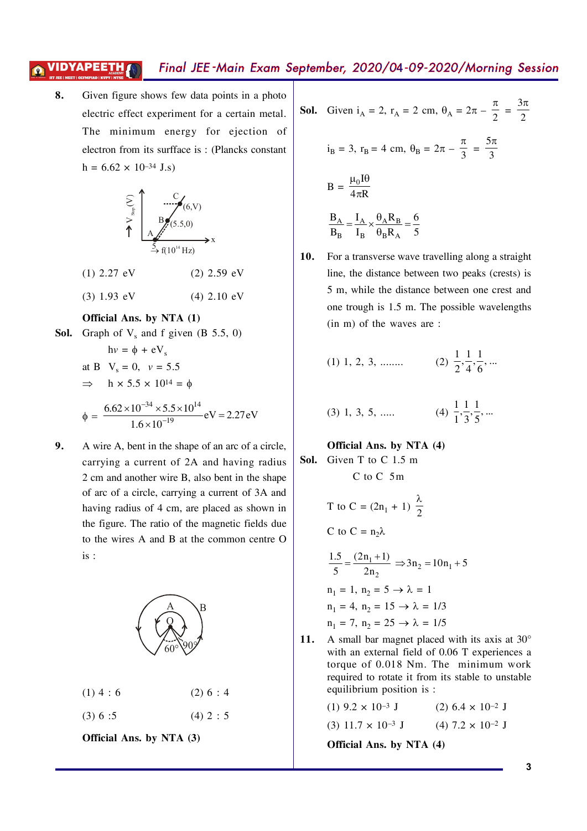#### Final JEE-Main Exam September, 2020/04-09-2020/Morning Session VIDYAPEETH*[*

8. Given figure shows few data points in a photo electric effect experiment for a certain metal. The minimum energy for ejection of electron from its surfface is: (Plancks constant)  $h = 6.62 \times 10^{-34}$  J.s)



- $(2)$  2.59 eV  $(1)$  2.27 eV
- $(3) 1.93$  eV  $(4)$  2.10 eV

#### Official Ans. by NTA (1)

**Sol.** Graph of  $V_s$  and f given  $(B 5.5, 0)$ 

$$
hv = \phi + eV_s
$$
  
at B V<sub>s</sub> = 0, v = 5.5  
⇒ h × 5.5 × 10<sup>14</sup> = φ  

$$
\phi = \frac{6.62 \times 10^{-34} \times 5.5 \times 10^{14}}{1.6 \times 10^{-19}} eV = 2.27 eV
$$

A wire A, bent in the shape of an arc of a circle, 9. carrying a current of 2A and having radius 2 cm and another wire B, also bent in the shape of arc of a circle, carrying a current of 3A and having radius of 4 cm, are placed as shown in the figure. The ratio of the magnetic fields due to the wires A and B at the common centre O  $is:$ 



**Sol.** Given 
$$
i_A = 2
$$
,  $r_A = 2$  cm,  $\theta_A = 2\pi - \frac{\pi}{2} = \frac{3\pi}{2}$ 

$$
iB = 3, rB = 4 cm, \thetaB = 2\pi - \frac{\pi}{3} = \frac{5\pi}{3}
$$
  

$$
B = \frac{\mu_0 I \theta}{4\pi R}
$$
  

$$
\frac{B_A}{B_B} = \frac{I_A}{I_B} \times \frac{\theta_A R_B}{\theta_B R_A} = \frac{6}{5}
$$

For a transverse wave travelling along a straight  $10.$ line, the distance between two peaks (crests) is 5 m, while the distance between one crest and one trough is 1.5 m. The possible wavelengths  $(in m)$  of the waves are:

(1) 1, 2, 3, .......   
(2) 
$$
\frac{1}{2}, \frac{1}{4}, \frac{1}{6}, ...
$$

(3) 1, 3, 5, .....   
 (4) 
$$
\frac{1}{1}, \frac{1}{3}, \frac{1}{5}, \dots
$$

## Official Ans. by NTA (4) Sol. Given T to C 1.5 m  $C$  to  $C$  5m

T to C = 
$$
(2n_1 + 1) \frac{\lambda}{2}
$$
  
\nC to C =  $n_2\lambda$   
\n $\frac{1.5}{5} = \frac{(2n_1 + 1)}{2n_2} \Rightarrow 3n_2 = 10n_1 + 5$   
\n $n_1 = 1, n_2 = 5 \rightarrow \lambda = 1$   
\n $n_1 = 4, n_2 = 15 \rightarrow \lambda = 1/3$   
\n $n_1 = 7, n_2 = 25 \rightarrow \lambda = 1/5$ 

A small bar magnet placed with its axis at 30° **11.** with an external field of 0.06 T experiences a torque of 0.018 Nm. The minimum work required to rotate it from its stable to unstable equilibrium position is :

> $(1)$  9.2  $\times$  10<sup>-3</sup> J  $(2)$  6.4  $\times$  10<sup>-2</sup> J  $(3)$  11.7  $\times$  10<sup>-3</sup> J  $(4)$  7.2  $\times$  10<sup>-2</sup> J Official Ans. by NTA (4)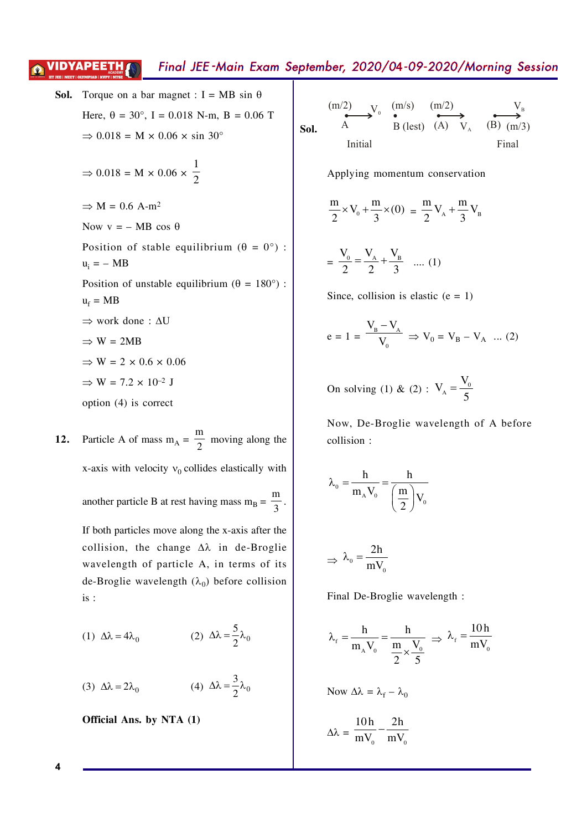# Final JEE-Main Exam September, 2020/04-09-2020/Morning Session

**Sol.** Torque on a bar magnet : I = MB sin θ

\nHere, θ = 30°, I = 0.018 N-m, B = 0.06 T

\n
$$
\Rightarrow
$$
 0.018 = M × 0.06 × sin 30°

\n $\Rightarrow$  0.018 = M × 0.06 ×  $\frac{1}{2}$ 

\n $\Rightarrow$  M = 0.6 A-m²

\nNow v = - MB cos θ

\nPosition of stable equilibrium (θ = 0°) : u<sub>i</sub> = - MB

\nPosition of unstable equilibrium (θ = 180°) : u<sub>f</sub> = MB

\n $\Rightarrow$  work done : ΔU

\n $\Rightarrow$  W = 2MB

\n $\Rightarrow$  W = 2 × 0.6 × 0.06

\n $\Rightarrow$  W = 7.2 × 10<sup>-2</sup> J

\noption (4) is correct

**VIDYAPEETH** 

12. Particle A of mass 
$$
m_A = \frac{m}{2}
$$
 moving along the x-axis with velocity  $v_0$  collides elastically with another particle B at rest having mass  $m_B = \frac{m}{3}$ .  
If both particles move along the x-axis after the collision, the change  $\Delta\lambda$  in de-Broglie wavelength of particle A, in terms of its de-Broglie wavelength ( $\lambda_0$ ) before collision is:

(1) 
$$
\Delta \lambda = 4\lambda_0
$$
 (2)  $\Delta \lambda = \frac{5}{2}\lambda_0$ 

(3) 
$$
\Delta \lambda = 2\lambda_0
$$
 (4)  $\Delta \lambda = \frac{3}{2}\lambda_0$ 

Official Ans. by NTA (1)

**Sol.** 
$$
\xrightarrow{\text{(m/2)}} \text{V}_0 \xrightarrow{\text{(m/s)}} \xrightarrow{\text{(m/2)}} \text{B (lest)}
$$
  $\xrightarrow{\text{(A)}} \text{V}_A \xrightarrow{\text{(B)}} \xrightarrow{\text{(m/3)}}$   
Initial  
Final

Applying momentum conservation

$$
\frac{m}{2} \times V_0 + \frac{m}{3} \times (0) = \frac{m}{2} V_A + \frac{m}{3} V_B
$$

$$
= \frac{V_0}{2} = \frac{V_A}{2} + \frac{V_B}{3} \quad \dots (1)
$$

Since, collision is elastic  $(e = 1)$ 

$$
e = 1 = \frac{V_B - V_A}{V_0} \Rightarrow V_0 = V_B - V_A \dots (2)
$$

On solving (1) & (2) :  $V_A = \frac{V_0}{5}$ 

Now, De-Broglie wavelength of A before collision:

$$
\lambda_{_0}=\frac{h}{m_{_A}V_{_0}}=\frac{h}{\left(\frac{m}{2}\right)V_{_0}}
$$

$$
\Rightarrow \lambda_{0} = \frac{2h}{mV_{0}}
$$

Final De-Broglie wavelength :

$$
\lambda_{\rm f} = \frac{h}{m_{\rm A} V_0} = \frac{h}{\frac{m}{2} \times \frac{V_0}{5}} \Rightarrow \lambda_{\rm f} = \frac{10 \, h}{m V_0}
$$
  
Now  $\Delta \lambda = \lambda_{\rm f} - \lambda_0$ 

$$
\Delta\lambda = \frac{10h}{mV_0} - \frac{2h}{mV_0}
$$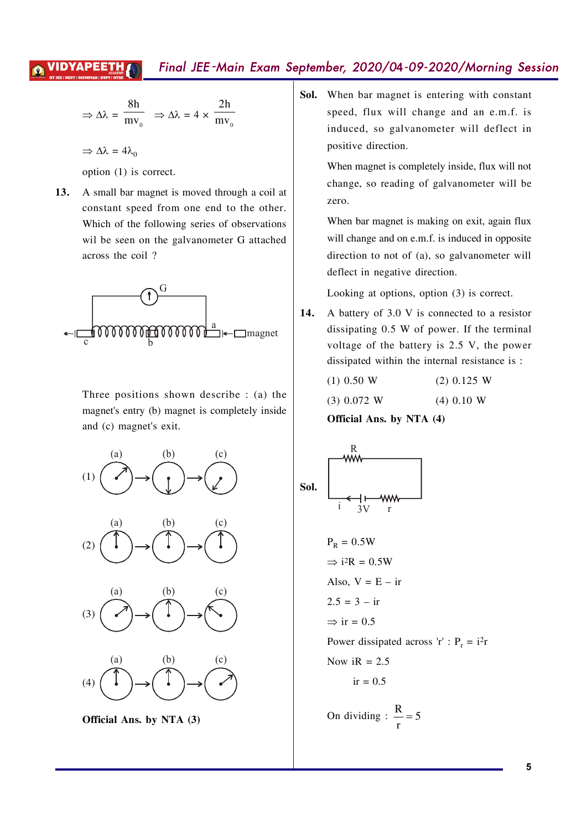## 'IDYAPEET

# Final JEE-Main Exam September, 2020/04-09-2020/Morning Session

$$
\Rightarrow \Delta \lambda = \frac{8h}{mv_o} \Rightarrow \Delta \lambda = 4 \times \frac{2h}{mv_o}
$$

 $\Rightarrow \Delta \lambda = 4\lambda_0$ 

option (1) is correct.

13. A small bar magnet is moved through a coil at constant speed from one end to the other. Which of the following series of observations wil be seen on the galvanometer G attached across the coil?



Three positions shown describe  $: (a)$  the magnet's entry (b) magnet is completely inside and (c) magnet's exit.



Sol. When bar magnet is entering with constant speed, flux will change and an e.m.f. is induced, so galvanometer will deflect in positive direction.

> When magnet is completely inside, flux will not change, so reading of galvanometer will be zero.

> When bar magnet is making on exit, again flux will change and on e.m.f. is induced in opposite direction to not of (a), so galvanometer will deflect in negative direction.

Looking at options, option (3) is correct.

14. A battery of 3.0 V is connected to a resistor dissipating 0.5 W of power. If the terminal voltage of the battery is 2.5 V, the power dissipated within the internal resistance is :

| $(1)$ 0.50 W  | $(2)$ 0.125 W |
|---------------|---------------|
| $(3)$ 0.072 W | $(4)$ 0.10 W  |
|               |               |

Official Ans. by NTA (4)

**Sol.**  
\n
$$
\begin{array}{r}\nR \\
\hline\ni \\
i\n\end{array}
$$
\n
$$
P_R = 0.5W
$$
\n
$$
\Rightarrow i^2R = 0.5W
$$
\nAlso,  $V = E - ir$   
\n $2.5 = 3 - ir$   
\n
$$
\Rightarrow ir = 0.5
$$
\nPower dissipated across 'r' :  $P_r = i^{2}r$   
\nNow  $iR = 2.5$   
\n $ir = 0.5$   
\nOn dividing :  $\frac{R}{r} = 5$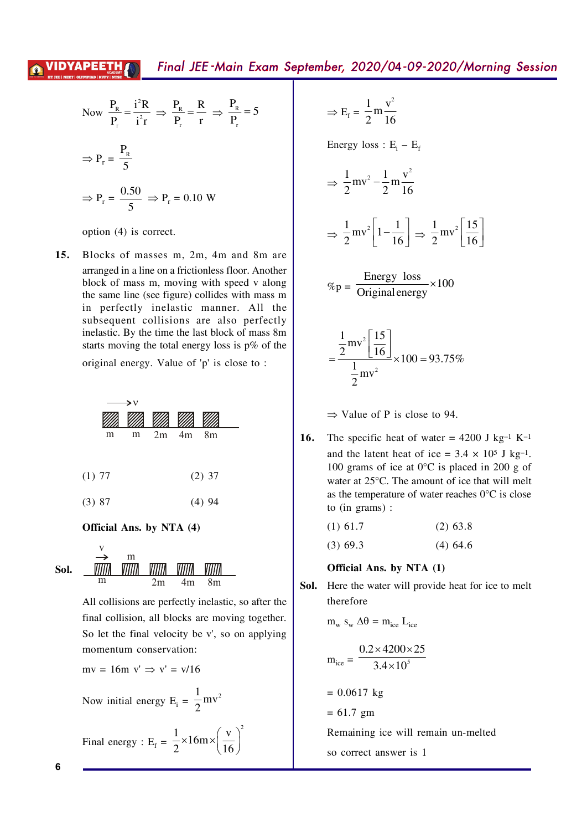Now 
$$
\frac{P_R}{P_r} = \frac{i^2 R}{i^2 r} \Rightarrow \frac{P_R}{P_r} = \frac{R}{r} \Rightarrow \frac{P_R}{P_r} = 5
$$
  
\n $\Rightarrow P_r = \frac{P_R}{5}$   
\n $\Rightarrow P_r = \frac{0.50}{5} \Rightarrow P_r = 0.10 W$ 

option (4) is correct.

15. Blocks of masses m, 2m, 4m and 8m are arranged in a line on a frictionless floor. Another block of mass m, moving with speed v along the same line (see figure) collides with mass m in perfectly inelastic manner. All the subsequent collisions are also perfectly inelastic. By the time the last block of mass 8m starts moving the total energy loss is  $p\%$  of the

original energy. Value of 'p' is close to :

| →∨       |   |   |    |                |                |  |
|----------|---|---|----|----------------|----------------|--|
|          |   |   |    |                |                |  |
|          | m | m | 2m | 4 <sub>m</sub> | 8 <sub>m</sub> |  |
| (1) 77   |   |   |    |                | $(2)$ 37       |  |
| $(3)$ 87 |   |   |    |                | (4)94          |  |

### Official Ans. by NTA (4)

$$
\text{Sol.} \quad \xrightarrow{\text{W}}_{\text{m}} \quad \text{WIII} \quad \text{WIII} \quad \text{WIII} \quad \text{WIII}
$$

All collisions are perfectly inelastic, so after the final collision, all blocks are moving together. So let the final velocity be v', so on applying momentum conservation:

mv = 16m v' 
$$
\Rightarrow
$$
 v' = v/16  
\nNow initial energy E<sub>i</sub> =  $\frac{1}{2}$ mv<sup>2</sup>  
\nFinal energy : E<sub>f</sub> =  $\frac{1}{2} \times 16$ m $\times$  $\left(\frac{v}{16}\right)^2$ 

 $\Rightarrow E_f = \frac{1}{2} m \frac{v^2}{16}$ 

Energy loss :  $E_i - E_f$ 

$$
\Rightarrow \frac{1}{2}mv^2 - \frac{1}{2}m\frac{v^2}{16}
$$

$$
\Rightarrow \frac{1}{2}mv^2 \left[1 - \frac{1}{16}\right] \Rightarrow \frac{1}{2}mv^2 \left[\frac{15}{16}\right]
$$

$$
\%p = \frac{\text{Energy loss}}{\text{Original energy}} \times 100
$$

$$
=\frac{\frac{1}{2}mv^2\left[\frac{15}{16}\right]}{\frac{1}{2}mv^2}\times 100 = 93.75\%
$$

 $\Rightarrow$  Value of P is close to 94.

16. The specific heat of water = 4200 J kg<sup>-1</sup> K<sup>-1</sup> and the latent heat of ice =  $3.4 \times 10^5$  J kg<sup>-1</sup>. 100 grams of ice at  $0^{\circ}$ C is placed in 200 g of water at 25°C. The amount of ice that will melt as the temperature of water reaches  $0^{\circ}$ C is close to  $(in \text{ grams})$ :

| $(1)$ 61.7 | $(2)$ 63.8 |
|------------|------------|
| $(3)$ 69.3 | $(4)$ 64.6 |

### Official Ans. by NTA (1)

Sol. Here the water will provide heat for ice to melt therefore

 $m_w s_w \Delta \theta = m_{ice} L_{ice}$ 

$$
m_{ice} = \frac{0.2 \times 4200 \times 25}{3.4 \times 10^5}
$$

$$
= 0.0617 \text{ kg}
$$

$$
= 61.7 \text{ gm}
$$

Remaining ice will remain un-melted

```
so correct answer is 1
```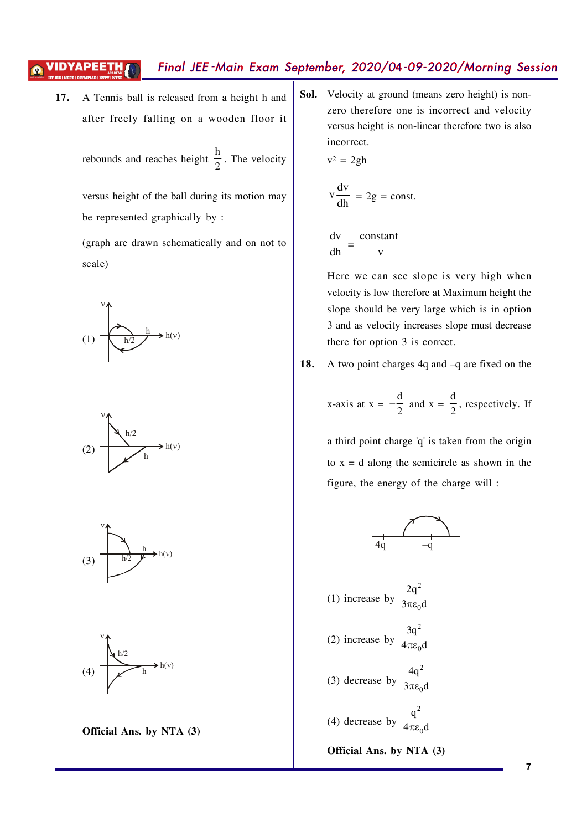# Final JEE-Main Exam September, 2020/04-09-2020/Morning Session

 $v^2 = 2gh$ 

A Tennis ball is released from a height h and 17. after freely falling on a wooden floor it

rebounds and reaches height  $\frac{h}{2}$ . The velocity

versus height of the ball during its motion may be represented graphically by:

(graph are drawn schematically and on not to scale)









Official Ans. by NTA (3)

Sol. Velocity at ground (means zero height) is nonzero therefore one is incorrect and velocity versus height is non-linear therefore two is also incorrect.

$$
\frac{dv}{dh} = 2g = const
$$

 $\frac{dv}{dh} = \frac{\text{constant}}{v}$ 

Here we can see slope is very high when velocity is low therefore at Maximum height the slope should be very large which is in option 3 and as velocity increases slope must decrease there for option 3 is correct.

18. A two point charges  $4q$  and  $-q$  are fixed on the

x-axis at 
$$
x = -\frac{d}{2}
$$
 and  $x = \frac{d}{2}$ , respectively. If

a third point charge 'q' is taken from the origin to  $x = d$  along the semicircle as shown in the figure, the energy of the charge will:



Official Ans. by NTA (3)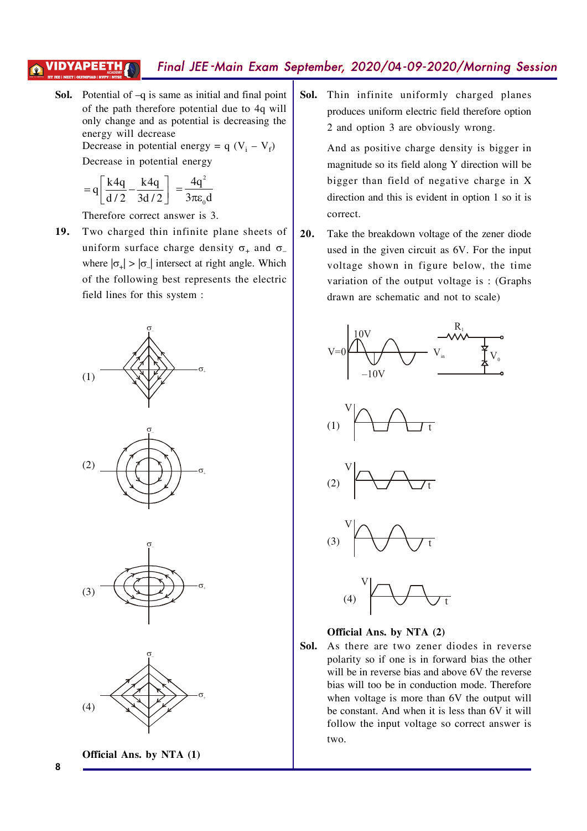#### Final JEE-Main Exam September, 2020/04-09-2020/Morning Session ЛОҮАРЕЕТ

**Sol.** Potential of  $-q$  is same as initial and final point of the path therefore potential due to 4q will only change and as potential is decreasing the energy will decrease Decrease in potential energy =  $q$  (V<sub>i</sub> – V<sub>f</sub>)

Decrease in potential energy

$$
=q\left[\frac{k4q}{d/2}-\frac{k4q}{3d/2}\right]=\frac{4q^2}{3\pi\varepsilon_0d}
$$

Therefore correct answer is 3.

19. Two charged thin infinite plane sheets of uniform surface charge density  $\sigma_+$  and  $\sigma_$ where  $|\sigma_{+}| > |\sigma_{-}|$  intersect at right angle. Which of the following best represents the electric field lines for this system :











Sol. Thin infinite uniformly charged planes produces uniform electric field therefore option 2 and option 3 are obviously wrong.

> And as positive charge density is bigger in magnitude so its field along Y direction will be bigger than field of negative charge in X direction and this is evident in option 1 so it is correct.

20. Take the breakdown voltage of the zener diode used in the given circuit as 6V. For the input voltage shown in figure below, the time variation of the output voltage is: (Graphs drawn are schematic and not to scale)





Sol. As there are two zener diodes in reverse polarity so if one is in forward bias the other will be in reverse bias and above 6V the reverse bias will too be in conduction mode. Therefore when voltage is more than 6V the output will be constant. And when it is less than 6V it will follow the input voltage so correct answer is two.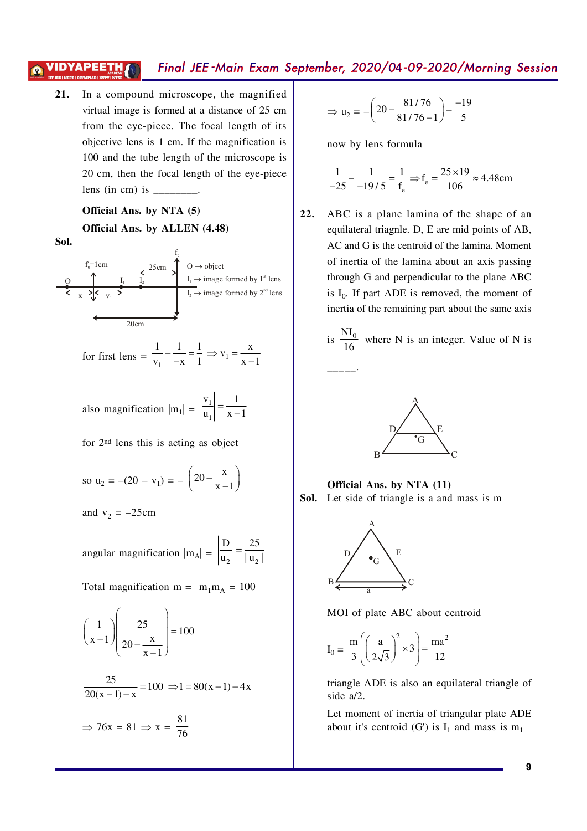#### Final JEE-Main Exam September, 2020/04-09-2020/Morning Session 'IDYAPEETH

In a compound microscope, the magnified  $21.$ virtual image is formed at a distance of 25 cm from the eye-piece. The focal length of its objective lens is 1 cm. If the magnification is 100 and the tube length of the microscope is 20 cm, then the focal length of the eye-piece lens (in cm) is  $\frac{ }{ }$ .

### Official Ans. by NTA (5)

Official Ans. by ALLEN (4.48) Sol.



for first lens = 
$$
\frac{1}{v_1} - \frac{1}{-x} = \frac{1}{1} \implies v_1 = \frac{x}{x-1}
$$

also magnification 
$$
|m_1| = \left|\frac{v_1}{u_1}\right| = \frac{1}{x-1}
$$

for 2<sup>nd</sup> lens this is acting as object

so 
$$
u_2 = -(20 - v_1) = -\left(20 - \frac{x}{x - 1}\right)
$$

and  $v_2 = -25$ cm

angular magnification  $|m_A| = \left|\frac{D}{u_2}\right| = \frac{25}{|u_2|}$ 

Total magnification m =  $m_1m_A = 100$ 

$$
\left(\frac{1}{x-1}\right)\left(\frac{25}{20-\frac{x}{x-1}}\right) = 100
$$

$$
\frac{25}{20(x-1)-x} = 100 \implies 1 = 80(x-1) - 4x
$$

$$
\Rightarrow 76x = 81 \Rightarrow x = \frac{81}{76}
$$

$$
\Rightarrow u_2 = -\left(20 - \frac{81/76}{81/76 - 1}\right) = \frac{-19}{5}
$$

now by lens formula

$$
\frac{1}{-25} - \frac{1}{-19/5} = \frac{1}{f_e} \Rightarrow f_e = \frac{25 \times 19}{106} \approx 4.48 \text{cm}
$$

 $22.$ ABC is a plane lamina of the shape of an equilateral triagnle. D, E are mid points of AB, AC and G is the centroid of the lamina. Moment of inertia of the lamina about an axis passing through G and perpendicular to the plane ABC is  $I_0$ . If part ADE is removed, the moment of inertia of the remaining part about the same axis

is 
$$
\frac{NI_0}{16}
$$
 where N is an integer. Value of N is



Official Ans. by NTA (11) Sol. Let side of triangle is a and mass is m



MOI of plate ABC about centroid

$$
I_0 = \frac{m}{3} \left( \left( \frac{a}{2\sqrt{3}} \right)^2 \times 3 \right) = \frac{ma^2}{12}
$$

triangle ADE is also an equilateral triangle of side a/2.

Let moment of inertia of triangular plate ADE about it's centroid (G') is  $I_1$  and mass is  $m_1$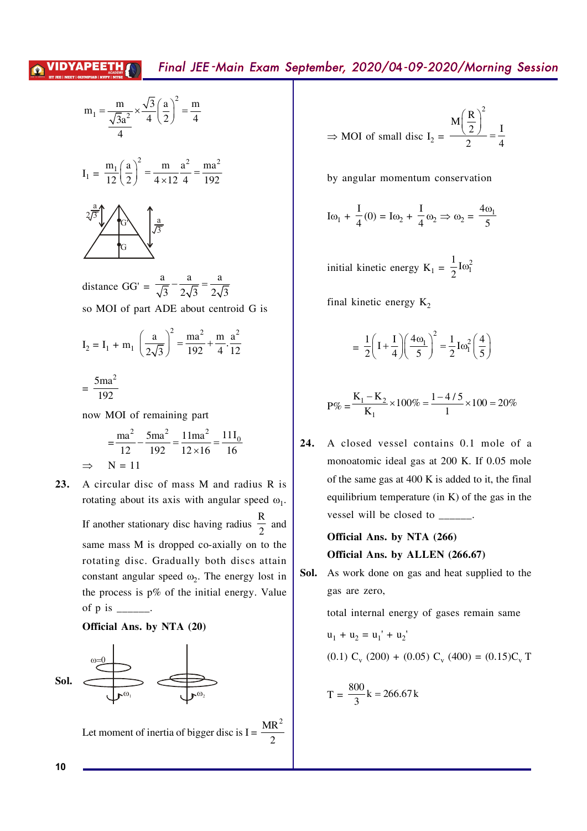$$
m_1 = \frac{m}{\frac{\sqrt{3}a^2}{4}} \times \frac{\sqrt{3}}{4} \left(\frac{a}{2}\right)^2 = \frac{m}{4}
$$
  

$$
I_1 = \frac{m_1}{12} \left(\frac{a}{2}\right)^2 = \frac{m}{4 \times 12} \frac{a^2}{4} = \frac{ma^2}{192}
$$
  

$$
2\frac{a}{\sqrt{3}} \qquad \qquad G
$$

distance GG' =  $\frac{a}{\sqrt{3}} - \frac{a}{2\sqrt{3}} = \frac{a}{2\sqrt{3}}$ so MOI of part ADE about centroid G is

$$
I_2 = I_1 + m_1 \left(\frac{a}{2\sqrt{3}}\right)^2 = \frac{ma^2}{192} + \frac{m}{4} \cdot \frac{a^2}{12}
$$

$$
= \frac{5ma^2}{192}
$$

now MOI of remaining part

$$
= \frac{\text{ma}^2}{12} - \frac{5\text{ma}^2}{192} = \frac{11\text{ma}^2}{12 \times 16} = \frac{11\text{I}_0}{16}
$$
  
\n
$$
\Rightarrow \quad \text{N} = 11
$$

23. A circular disc of mass M and radius R is rotating about its axis with angular speed  $\omega_1$ . If another stationary disc having radius  $\frac{R}{2}$  and same mass M is dropped co-axially on to the rotating disc. Gradually both discs attain constant angular speed  $\omega_2$ . The energy lost in the process is  $p\%$  of the initial energy. Value of  $p$  is  $\frac{1}{\sqrt{p}}$ .

## Official Ans. by NTA (20)



Let moment of inertia of bigger disc is  $I =$ 

$$
\Rightarrow \text{MOI of small disc } I_2 = \frac{M \left(\frac{R}{2}\right)^2}{2} = \frac{I}{4}
$$

by angular momentum conservation

$$
I\omega_1 + \frac{I}{4}(0) = I\omega_2 + \frac{I}{4}\omega_2 \Rightarrow \omega_2 = \frac{4\omega_1}{5}
$$

initial kinetic energy  $K_1 = \frac{1}{2}I\omega_1^2$ 

final kinetic energy  $K_2$ 

$$
= \frac{1}{2}\left(1+\frac{I}{4}\right)\left(\frac{4\omega_1}{5}\right)^2 = \frac{1}{2}\mathrm{I}\omega_1^2\left(\frac{4}{5}\right)
$$

$$
P\% = \frac{K_1 - K_2}{K_1} \times 100\% = \frac{1 - 4/5}{1} \times 100 = 20\%
$$

A closed vessel contains 0.1 mole of a 24. monoatomic ideal gas at 200 K. If 0.05 mole of the same gas at 400 K is added to it, the final equilibrium temperature (in  $K$ ) of the gas in the vessel will be closed to  $\frac{ }{ }$ .

> Official Ans. by NTA (266) Official Ans. by ALLEN (266.67)

Sol. As work done on gas and heat supplied to the gas are zero,

> total internal energy of gases remain same  $u_1 + u_2 = u_1' + u_2'$  $(0.1)$  C<sub>y</sub> (200) + (0.05) C<sub>y</sub> (400) = (0.15)C<sub>y</sub> T

$$
T = \frac{800}{3}k = 266.67k
$$